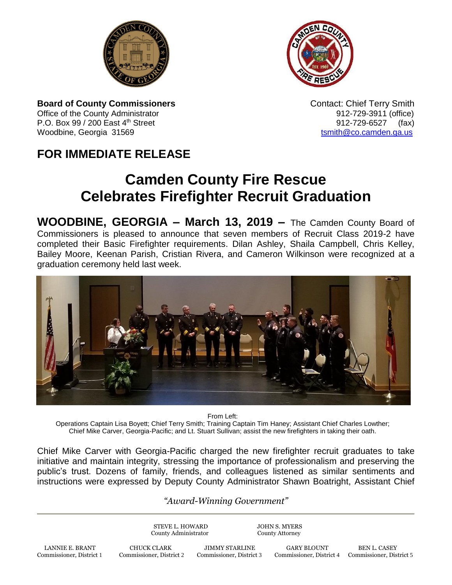



**Board of County Commissioners Contact: Chief Terry Smith Contact: Chief Terry Smith** Office of the County Administrator **912-729-3911** (office) P.O. Box 99 / 200 East 4<sup>th</sup> Street 912-729-6527 (fax) Woodbine, Georgia 31569 to the control of the control of the control of the control of the control of the control of the control of the control of the control of the control of the control of the control of the control of

## **FOR IMMEDIATE RELEASE**

## **Camden County Fire Rescue Celebrates Firefighter Recruit Graduation**

**WOODBINE, GEORGIA – March 13, 2019 –** The Camden County Board of Commissioners is pleased to announce that seven members of Recruit Class 2019-2 have completed their Basic Firefighter requirements. Dilan Ashley, Shaila Campbell, Chris Kelley, Bailey Moore, Keenan Parish, Cristian Rivera, and Cameron Wilkinson were recognized at a graduation ceremony held last week.



From Left:

Operations Captain Lisa Boyett; Chief Terry Smith; Training Captain Tim Haney; Assistant Chief Charles Lowther; Chief Mike Carver, Georgia-Pacific; and Lt. Stuart Sullivan; assist the new firefighters in taking their oath.

Chief Mike Carver with Georgia-Pacific charged the new firefighter recruit graduates to take initiative and maintain integrity, stressing the importance of professionalism and preserving the public's trust. Dozens of family, friends, and colleagues listened as similar sentiments and instructions were expressed by Deputy County Administrator Shawn Boatright, Assistant Chief

## *"Award-Winning Government"*

STEVE L. HOWARD JOHN S. MYERS County Administrator County Attorney

Commissioner, District 4 Commissioner, District 5